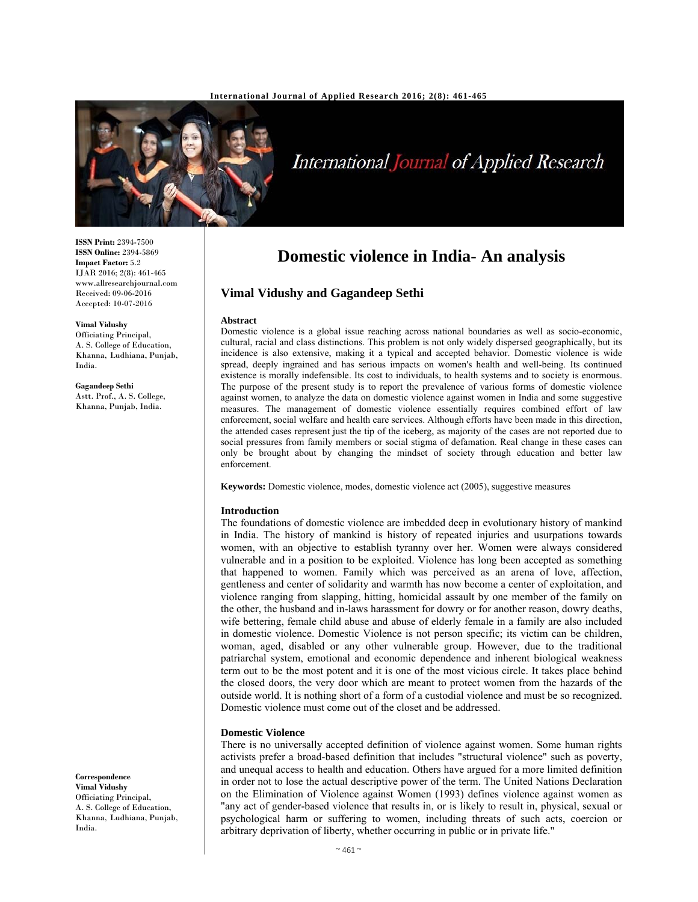

# International Journal of Applied Research

**ISSN Print:** 2394-7500 **ISSN Online:** 2394-5869 **Impact Factor:** 5.2 IJAR 2016; 2(8): 461-465 www.allresearchjournal.com Received: 09-06-2016 Accepted: 10-07-2016

**Vimal Vidushy**  Officiating Principal, A. S. College of Education, Khanna, Ludhiana, Punjab, India.

**Gagandeep Sethi** Astt. Prof., A. S. College, Khanna, Punjab, India.

**Domestic violence in India- An analysis** 

# **Vimal Vidushy and Gagandeep Sethi**

### **Abstract**

Domestic violence is a global issue reaching across national boundaries as well as socio-economic, cultural, racial and class distinctions. This problem is not only widely dispersed geographically, but its incidence is also extensive, making it a typical and accepted behavior. Domestic violence is wide spread, deeply ingrained and has serious impacts on women's health and well-being. Its continued existence is morally indefensible. Its cost to individuals, to health systems and to society is enormous. The purpose of the present study is to report the prevalence of various forms of domestic violence against women, to analyze the data on domestic violence against women in India and some suggestive measures. The management of domestic violence essentially requires combined effort of law enforcement, social welfare and health care services. Although efforts have been made in this direction, the attended cases represent just the tip of the iceberg, as majority of the cases are not reported due to social pressures from family members or social stigma of defamation. Real change in these cases can only be brought about by changing the mindset of society through education and better law enforcement.

**Keywords:** Domestic violence, modes, domestic violence act (2005), suggestive measures

### **Introduction**

The foundations of domestic violence are imbedded deep in evolutionary history of mankind in India. The history of mankind is history of repeated injuries and usurpations towards women, with an objective to establish tyranny over her. Women were always considered vulnerable and in a position to be exploited. Violence has long been accepted as something that happened to women. Family which was perceived as an arena of love, affection, gentleness and center of solidarity and warmth has now become a center of exploitation, and violence ranging from slapping, hitting, homicidal assault by one member of the family on the other, the husband and in-laws harassment for dowry or for another reason, dowry deaths, wife bettering, female child abuse and abuse of elderly female in a family are also included in domestic violence. Domestic Violence is not person specific; its victim can be children, woman, aged, disabled or any other vulnerable group. However, due to the traditional patriarchal system, emotional and economic dependence and inherent biological weakness term out to be the most potent and it is one of the most vicious circle. It takes place behind the closed doors, the very door which are meant to protect women from the hazards of the outside world. It is nothing short of a form of a custodial violence and must be so recognized. Domestic violence must come out of the closet and be addressed.

## **Domestic Violence**

There is no universally accepted definition of violence against women. Some human rights activists prefer a broad-based definition that includes "structural violence" such as poverty, and unequal access to health and education. Others have argued for a more limited definition in order not to lose the actual descriptive power of the term. The United Nations Declaration on the Elimination of Violence against Women (1993) defines violence against women as "any act of gender-based violence that results in, or is likely to result in, physical, sexual or psychological harm or suffering to women, including threats of such acts, coercion or arbitrary deprivation of liberty, whether occurring in public or in private life."

# **Correspondence**

**Vimal Vidushy**  Officiating Principal, A. S. College of Education, Khanna, Ludhiana, Punjab, India.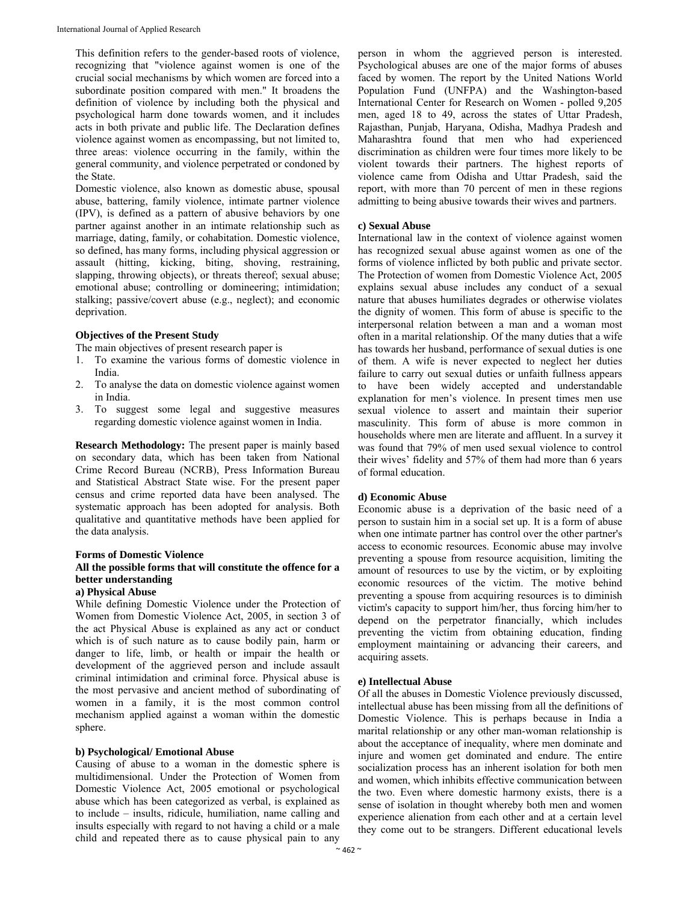This definition refers to the gender-based roots of violence, recognizing that "violence against women is one of the crucial social mechanisms by which women are forced into a subordinate position compared with men." It broadens the definition of violence by including both the physical and psychological harm done towards women, and it includes acts in both private and public life. The Declaration defines violence against women as encompassing, but not limited to, three areas: violence occurring in the family, within the general community, and violence perpetrated or condoned by the State.

Domestic violence, also known as domestic abuse, spousal abuse, battering, family violence, intimate partner violence (IPV), is defined as a pattern of abusive behaviors by one partner against another in an intimate relationship such as marriage, dating, family, or cohabitation. Domestic violence, so defined, has many forms, including physical aggression or assault (hitting, kicking, biting, shoving, restraining, slapping, throwing objects), or threats thereof; sexual abuse; emotional abuse; controlling or domineering; intimidation; stalking; passive/covert abuse (e.g., neglect); and economic deprivation.

# **Objectives of the Present Study**

The main objectives of present research paper is

- 1. To examine the various forms of domestic violence in India.
- 2. To analyse the data on domestic violence against women in India.
- 3. To suggest some legal and suggestive measures regarding domestic violence against women in India.

**Research Methodology:** The present paper is mainly based on secondary data, which has been taken from National Crime Record Bureau (NCRB), Press Information Bureau and Statistical Abstract State wise. For the present paper census and crime reported data have been analysed. The systematic approach has been adopted for analysis. Both qualitative and quantitative methods have been applied for the data analysis.

## **Forms of Domestic Violence**

# **All the possible forms that will constitute the offence for a better understanding**

# **a) Physical Abuse**

While defining Domestic Violence under the Protection of Women from Domestic Violence Act, 2005, in section 3 of the act Physical Abuse is explained as any act or conduct which is of such nature as to cause bodily pain, harm or danger to life, limb, or health or impair the health or development of the aggrieved person and include assault criminal intimidation and criminal force. Physical abuse is the most pervasive and ancient method of subordinating of women in a family, it is the most common control mechanism applied against a woman within the domestic sphere.

## **b) Psychological/ Emotional Abuse**

Causing of abuse to a woman in the domestic sphere is multidimensional. Under the Protection of Women from Domestic Violence Act, 2005 emotional or psychological abuse which has been categorized as verbal, is explained as to include – insults, ridicule, humiliation, name calling and insults especially with regard to not having a child or a male child and repeated there as to cause physical pain to any

person in whom the aggrieved person is interested. Psychological abuses are one of the major forms of abuses faced by women. The report by the United Nations World Population Fund (UNFPA) and the Washington-based International Center for Research on Women - polled 9,205 men, aged 18 to 49, across the states of Uttar Pradesh, Rajasthan, Punjab, Haryana, Odisha, Madhya Pradesh and Maharashtra found that men who had experienced discrimination as children were four times more likely to be violent towards their partners. The highest reports of violence came from Odisha and Uttar Pradesh, said the report, with more than 70 percent of men in these regions admitting to being abusive towards their wives and partners.

# **c) Sexual Abuse**

International law in the context of violence against women has recognized sexual abuse against women as one of the forms of violence inflicted by both public and private sector. The Protection of women from Domestic Violence Act, 2005 explains sexual abuse includes any conduct of a sexual nature that abuses humiliates degrades or otherwise violates the dignity of women. This form of abuse is specific to the interpersonal relation between a man and a woman most often in a marital relationship. Of the many duties that a wife has towards her husband, performance of sexual duties is one of them. A wife is never expected to neglect her duties failure to carry out sexual duties or unfaith fullness appears to have been widely accepted and understandable explanation for men's violence. In present times men use sexual violence to assert and maintain their superior masculinity. This form of abuse is more common in households where men are literate and affluent. In a survey it was found that 79% of men used sexual violence to control their wives' fidelity and 57% of them had more than 6 years of formal education.

## **d) Economic Abuse**

Economic abuse is a deprivation of the basic need of a person to sustain him in a social set up. It is a form of abuse when one intimate partner has control over the other partner's access to economic resources. Economic abuse may involve preventing a spouse from resource acquisition, limiting the amount of resources to use by the victim, or by exploiting economic resources of the victim. The motive behind preventing a spouse from acquiring resources is to diminish victim's capacity to support him/her, thus forcing him/her to depend on the perpetrator financially, which includes preventing the victim from obtaining education, finding employment maintaining or advancing their careers, and acquiring assets.

### **e) Intellectual Abuse**

Of all the abuses in Domestic Violence previously discussed, intellectual abuse has been missing from all the definitions of Domestic Violence. This is perhaps because in India a marital relationship or any other man-woman relationship is about the acceptance of inequality, where men dominate and injure and women get dominated and endure. The entire socialization process has an inherent isolation for both men and women, which inhibits effective communication between the two. Even where domestic harmony exists, there is a sense of isolation in thought whereby both men and women experience alienation from each other and at a certain level they come out to be strangers. Different educational levels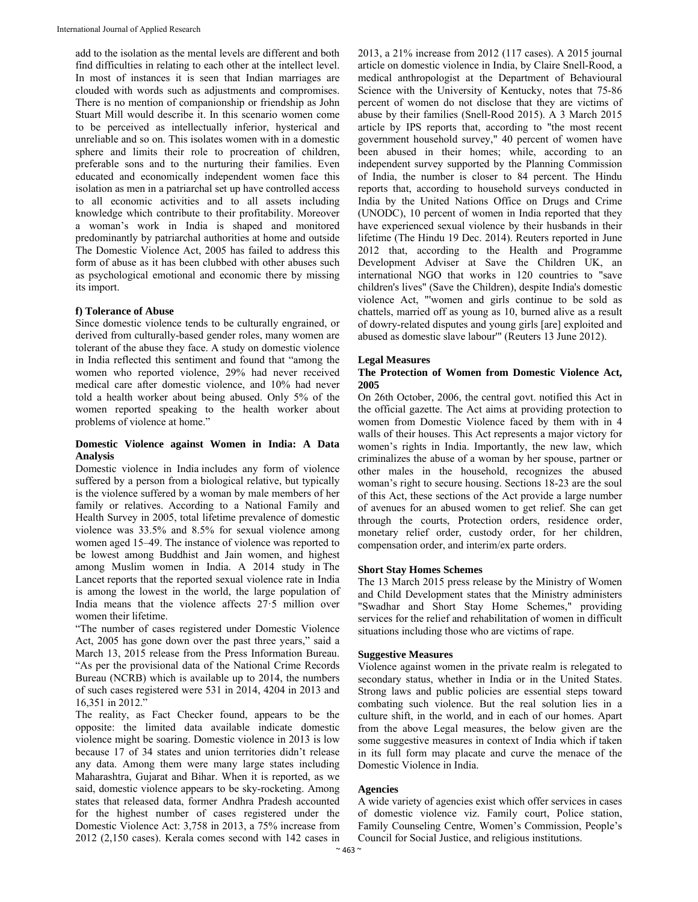add to the isolation as the mental levels are different and both find difficulties in relating to each other at the intellect level. In most of instances it is seen that Indian marriages are clouded with words such as adjustments and compromises. There is no mention of companionship or friendship as John Stuart Mill would describe it. In this scenario women come to be perceived as intellectually inferior, hysterical and unreliable and so on. This isolates women with in a domestic sphere and limits their role to procreation of children, preferable sons and to the nurturing their families. Even educated and economically independent women face this isolation as men in a patriarchal set up have controlled access to all economic activities and to all assets including knowledge which contribute to their profitability. Moreover a woman's work in India is shaped and monitored predominantly by patriarchal authorities at home and outside The Domestic Violence Act, 2005 has failed to address this form of abuse as it has been clubbed with other abuses such as psychological emotional and economic there by missing its import.

# **f) Tolerance of Abuse**

Since domestic violence tends to be culturally engrained, or derived from culturally-based gender roles, many women are tolerant of the abuse they face. A study on domestic violence in India reflected this sentiment and found that "among the women who reported violence, 29% had never received medical care after domestic violence, and 10% had never told a health worker about being abused. Only 5% of the women reported speaking to the health worker about problems of violence at home."

# **Domestic Violence against Women in India: A Data Analysis**

Domestic violence in India includes any form of violence suffered by a person from a biological relative, but typically is the violence suffered by a woman by male members of her family or relatives. According to a National Family and Health Survey in 2005, total lifetime prevalence of domestic violence was 33.5% and 8.5% for sexual violence among women aged 15–49. The instance of violence was reported to be lowest among Buddhist and Jain women, and highest among Muslim women in India. A 2014 study in The Lancet reports that the reported sexual violence rate in India is among the lowest in the world, the large population of India means that the violence affects 27·5 million over women their lifetime.

"The number of cases registered under Domestic Violence Act, 2005 has gone down over the past three years," said a March 13, 2015 release from the Press Information Bureau. "As per the provisional data of the National Crime Records Bureau (NCRB) which is available up to 2014, the numbers of such cases registered were 531 in 2014, 4204 in 2013 and 16,351 in 2012."

The reality, as Fact Checker found, appears to be the opposite: the limited data available indicate domestic violence might be soaring. Domestic violence in 2013 is low because 17 of 34 states and union territories didn't release any data. Among them were many large states including Maharashtra, Gujarat and Bihar. When it is reported, as we said, domestic violence appears to be sky-rocketing. Among states that released data, former Andhra Pradesh accounted for the highest number of cases registered under the Domestic Violence Act: 3,758 in 2013, a 75% increase from 2012 (2,150 cases). Kerala comes second with 142 cases in

2013, a 21% increase from 2012 (117 cases). A 2015 journal article on domestic violence in India, by Claire Snell-Rood, a medical anthropologist at the Department of Behavioural Science with the University of Kentucky, notes that 75-86 percent of women do not disclose that they are victims of abuse by their families (Snell-Rood 2015). A 3 March 2015 article by IPS reports that, according to "the most recent government household survey," 40 percent of women have been abused in their homes; while, according to an independent survey supported by the Planning Commission of India, the number is closer to 84 percent. The Hindu reports that, according to household surveys conducted in India by the United Nations Office on Drugs and Crime (UNODC), 10 percent of women in India reported that they have experienced sexual violence by their husbands in their lifetime (The Hindu 19 Dec. 2014). Reuters reported in June 2012 that, according to the Health and Programme Development Adviser at Save the Children UK, an international NGO that works in 120 countries to "save children's lives" (Save the Children), despite India's domestic violence Act, "'women and girls continue to be sold as chattels, married off as young as 10, burned alive as a result of dowry-related disputes and young girls [are] exploited and abused as domestic slave labour'" (Reuters 13 June 2012).

# **Legal Measures**

## **The Protection of Women from Domestic Violence Act, 2005**

On 26th October, 2006, the central govt. notified this Act in the official gazette. The Act aims at providing protection to women from Domestic Violence faced by them with in 4 walls of their houses. This Act represents a major victory for women's rights in India. Importantly, the new law, which criminalizes the abuse of a woman by her spouse, partner or other males in the household, recognizes the abused woman's right to secure housing. Sections 18-23 are the soul of this Act, these sections of the Act provide a large number of avenues for an abused women to get relief. She can get through the courts, Protection orders, residence order, monetary relief order, custody order, for her children, compensation order, and interim/ex parte orders.

## **Short Stay Homes Schemes**

The 13 March 2015 press release by the Ministry of Women and Child Development states that the Ministry administers "Swadhar and Short Stay Home Schemes," providing services for the relief and rehabilitation of women in difficult situations including those who are victims of rape.

## **Suggestive Measures**

Violence against women in the private realm is relegated to secondary status, whether in India or in the United States. Strong laws and public policies are essential steps toward combating such violence. But the real solution lies in a culture shift, in the world, and in each of our homes. Apart from the above Legal measures, the below given are the some suggestive measures in context of India which if taken in its full form may placate and curve the menace of the Domestic Violence in India.

## **Agencies**

A wide variety of agencies exist which offer services in cases of domestic violence viz. Family court, Police station, Family Counseling Centre, Women's Commission, People's Council for Social Justice, and religious institutions.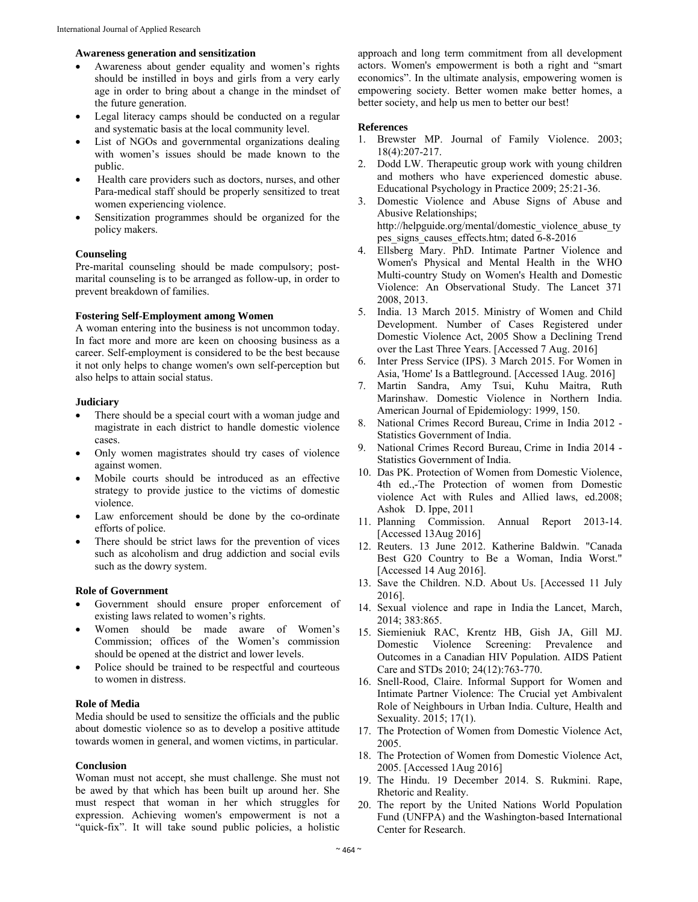## **Awareness generation and sensitization**

- Awareness about gender equality and women's rights should be instilled in boys and girls from a very early age in order to bring about a change in the mindset of the future generation.
- Legal literacy camps should be conducted on a regular and systematic basis at the local community level.
- List of NGOs and governmental organizations dealing with women's issues should be made known to the public.
- Health care providers such as doctors, nurses, and other Para-medical staff should be properly sensitized to treat women experiencing violence.
- Sensitization programmes should be organized for the policy makers.

## **Counseling**

Pre-marital counseling should be made compulsory; postmarital counseling is to be arranged as follow-up, in order to prevent breakdown of families.

# **Fostering Self-Employment among Women**

A woman entering into the business is not uncommon today. In fact more and more are keen on choosing business as a career. Self-employment is considered to be the best because it not only helps to change women's own self-perception but also helps to attain social status.

## **Judiciary**

- There should be a special court with a woman judge and magistrate in each district to handle domestic violence cases.
- Only women magistrates should try cases of violence against women.
- Mobile courts should be introduced as an effective strategy to provide justice to the victims of domestic violence.
- Law enforcement should be done by the co-ordinate efforts of police.
- There should be strict laws for the prevention of vices such as alcoholism and drug addiction and social evils such as the dowry system.

## **Role of Government**

- Government should ensure proper enforcement of existing laws related to women's rights.
- Women should be made aware of Women's Commission; offices of the Women's commission should be opened at the district and lower levels.
- Police should be trained to be respectful and courteous to women in distress.

# **Role of Media**

Media should be used to sensitize the officials and the public about domestic violence so as to develop a positive attitude towards women in general, and women victims, in particular.

### **Conclusion**

Woman must not accept, she must challenge. She must not be awed by that which has been built up around her. She must respect that woman in her which struggles for expression. Achieving women's empowerment is not a "quick-fix". It will take sound public policies, a holistic

approach and long term commitment from all development actors. Women's empowerment is both a right and "smart economics". In the ultimate analysis, empowering women is empowering society. Better women make better homes, a better society, and help us men to better our best!

### **References**

- 1. Brewster MP. Journal of Family Violence. 2003; 18(4):207-217.
- 2. Dodd LW. Therapeutic group work with young children and mothers who have experienced domestic abuse. Educational Psychology in Practice 2009; 25:21-36.
- 3. Domestic Violence and Abuse Signs of Abuse and Abusive Relationships; http://helpguide.org/mental/domestic\_violence\_abuse\_ty pes signs causes effects.htm; dated  $6-8-2016$
- 4. Ellsberg Mary. PhD. Intimate Partner Violence and Women's Physical and Mental Health in the WHO Multi-country Study on Women's Health and Domestic Violence: An Observational Study. The Lancet 371 2008, 2013.
- 5. India. 13 March 2015. Ministry of Women and Child Development. Number of Cases Registered under Domestic Violence Act, 2005 Show a Declining Trend over the Last Three Years. [Accessed 7 Aug. 2016]
- 6. Inter Press Service (IPS). 3 March 2015. For Women in Asia, 'Home' Is a Battleground. [Accessed 1Aug. 2016]
- 7. Martin Sandra, Amy Tsui, Kuhu Maitra, Ruth Marinshaw. Domestic Violence in Northern India. American Journal of Epidemiology: 1999, 150.
- 8. National Crimes Record Bureau, Crime in India 2012 Statistics Government of India.
- 9. National Crimes Record Bureau, Crime in India 2014 Statistics Government of India.
- 10. Das PK. Protection of Women from Domestic Violence, 4th ed.,-The Protection of women from Domestic violence Act with Rules and Allied laws, ed.2008; Ashok D. Ippe, 2011
- 11. Planning Commission. Annual Report 2013-14. [Accessed 13Aug 2016]
- 12. Reuters. 13 June 2012. Katherine Baldwin. "Canada Best G20 Country to Be a Woman, India Worst." [Accessed 14 Aug 2016].
- 13. Save the Children. N.D. About Us. [Accessed 11 July 2016].
- 14. Sexual violence and rape in India the Lancet, March, 2014; 383:865.
- 15. Siemieniuk RAC, Krentz HB, Gish JA, Gill MJ. Domestic Violence Screening: Prevalence and Outcomes in a Canadian HIV Population. AIDS Patient Care and STDs 2010; 24(12):763-770.
- 16. Snell-Rood, Claire. Informal Support for Women and Intimate Partner Violence: The Crucial yet Ambivalent Role of Neighbours in Urban India. Culture, Health and Sexuality. 2015; 17(1).
- 17. The Protection of Women from Domestic Violence Act, 2005.
- 18. The Protection of Women from Domestic Violence Act, 2005. [Accessed 1Aug 2016]
- 19. The Hindu. 19 December 2014. S. Rukmini. Rape, Rhetoric and Reality.
- 20. The report by the United Nations World Population Fund (UNFPA) and the Washington-based International Center for Research.